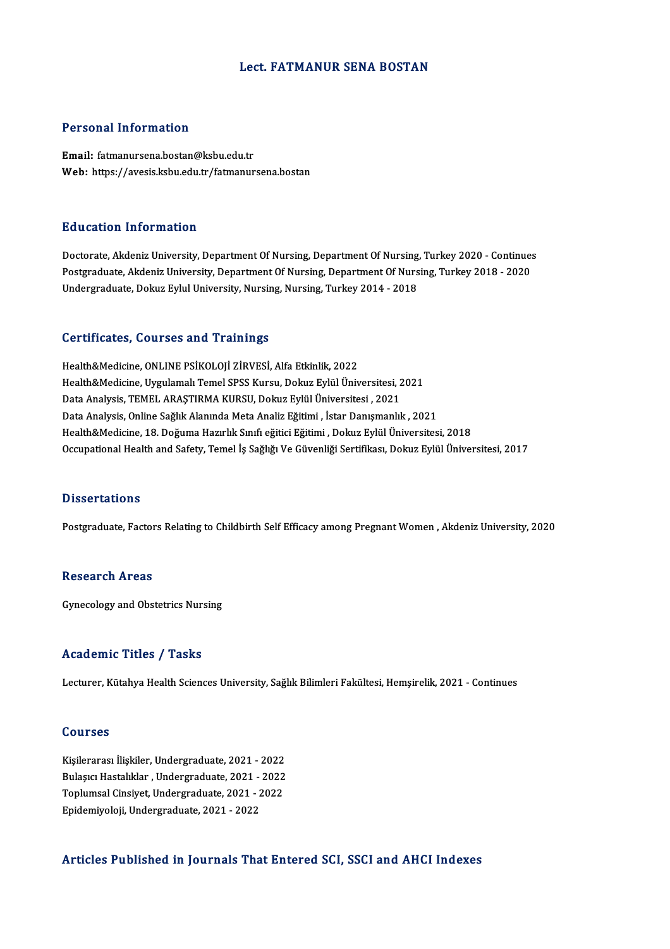## Lect. FATMANUR SENA BOSTAN

# Personal Information

Email: fatmanursena.bostan@ksbu.edu.tr Web: https://avesis.ksbu.edu.tr/fatmanursena.bostan

## Education Information

Education Information<br>Doctorate, Akdeniz University, Department Of Nursing, Department Of Nursing, Turkey 2020 - Continues<br>Postsraduate, Akdeniz University, Department Of Nursing, Department Of Nursing, Turkey 2019 - 2020 Putted Mathol Milos Mutted<br>Doctorate, Akdeniz University, Department Of Nursing, Department Of Nursing, Turkey 2020 - Continue:<br>Postgraduate, Akdeniz University, Department Of Nursing, Department Of Nursing, Turkey 2018 - Postgraduate, Akdeniz University, Department Of Nursing, Department Of Nursing, Turkey 2018 - 2020<br>Undergraduate, Dokuz Eylul University, Nursing, Nursing, Turkey 2014 - 2018

#### Certificates, Courses and Trainings

Health&Medicine, ONLINE PSİKOLOJİ ZİRVESİ, Alfa Etkinlik, 2022 Health&Medicine, Uygulamalı Temel SPSS Kursu, Dokuz Eylül Üniversitesi, 2021 Data Analysis, TEMEL ARAŞTIRMA KURSU, Dokuz Eylül Üniversitesi , 2021 Data Analysis, Online Sağlık Alanında Meta Analiz Eğitimi , İstar Danışmanlık, 2021 Health&Medicine, 18. Doğuma Hazırlık Sınıfı eğitici Eğitimi , Dokuz Eylül Üniversitesi, 2018 Occupational Health and Safety, Temel İş Sağlığı Ve Güvenliği Sertifikası, Dokuz Eylül Üniversitesi, 2017

## **Dissertations**

Postgraduate, Factors Relating to Childbirth Self Efficacy among Pregnant Women, Akdeniz University, 2020

# Research Areas

Gynecology and Obstetrics Nursing

#### Academic Titles / Tasks

Lecturer, Kütahya Health Sciences University, Sağlık Bilimleri Fakültesi, Hemşirelik, 2021 - Continues

#### Courses

Courses<br>Kişilerarası İlişkiler, Undergraduate, 2021 - 2022<br>Pulasısı Hastalıklar, Undergraduate, 2021 - 2022 Sourbos<br>Kişilerarası İlişkiler, Undergraduate, 2021 - 2022<br>Bulaşıcı Hastalıklar , Undergraduate, 2021 - 2022<br>Tenlumsal Cinsivet, Undergraduate, 2021 - 2022 Kişilerarası İlişkiler, Undergraduate, 2021 - 2022<br>Bulaşıcı Hastalıklar , Undergraduate, 2021 - 2022<br>Toplumsal Cinsiyet, Undergraduate, 2021 - 2022<br>Enidemiyeleji Undergraduate, 2021 - 2022 Bulaşıcı Hastalıklar , Undergraduate, 2021 - 2022<br>Toplumsal Cinsiyet, Undergraduate, 2021 - 2022<br>Epidemiyoloji, Undergraduate, 2021 - 2022

#### Articles Published in Journals That Entered SCI, SSCI and AHCI Indexes